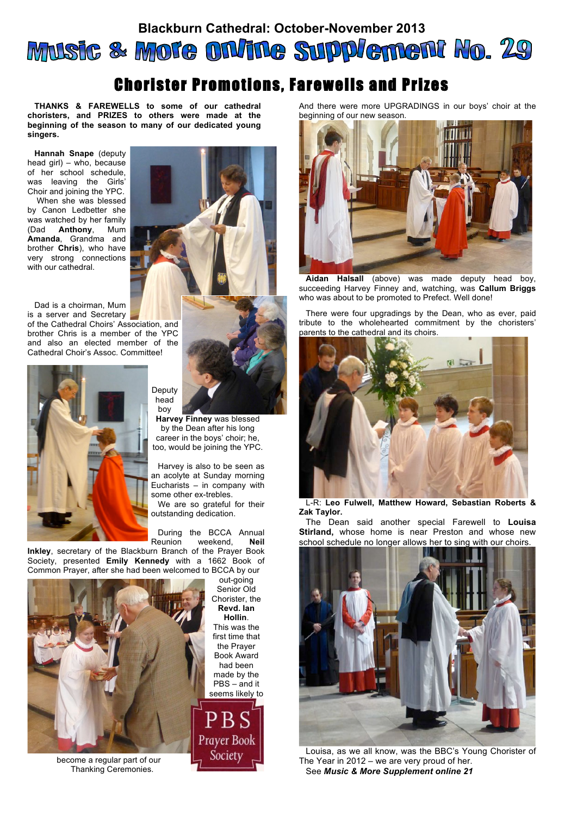## **Blackburn Cathedral: October-November 2013** Music & More on/ine Supplement No. 29

## Chorister Promotions, Farewells and Prizes

**THANKS & FAREWELLS to some of our cathedral choristers, and PRIZES to others were made at the beginning of the season to many of our dedicated young singers.**

**Hannah Snape** (deputy head girl) – who, because of her school schedule, was leaving the Girls' Choir and joining the YPC.

 When she was blessed by Canon Ledbetter she was watched by her family (Dad **Anthony**, Mum **Amanda**, Grandma and brother **Chris**), who have very strong connections with our cathedral.

Dad is a choirman, Mum is a server and Secretary

of the Cathedral Choirs' Association, and brother Chris is a member of the YPC and also an elected member of the Cathedral Choir's Assoc. Committee!





**Harvey Finney** was blessed by the Dean after his long career in the boys' choir; he, too, would be joining the YPC.

Harvey is also to be seen as an acolyte at Sunday morning Eucharists – in company with some other ex-trebles. We are so grateful for their outstanding dedication.

During the BCCA Annual<br>Reunion weekend. **Neil** weekend. **Neil** 

**Inkley**, secretary of the Blackburn Branch of the Prayer Book Society, presented **Emily Kennedy** with a 1662 Book of Common Prayer, after she had been welcomed to BCCA by our

boy



become a regular part of our Thanking Ceremonies.

out-going Senior Old Chorister, the **Revd. Ian Hollin**. This was the first time that the Prayer Book Award had been made by the PBS – and it seems likely to



And there were more UPGRADINGS in our boys' choir at the beginning of our new season.



**Aidan Halsall** (above) was made deputy head boy, succeeding Harvey Finney and, watching, was **Callum Briggs** who was about to be promoted to Prefect. Well done!

There were four upgradings by the Dean, who as ever, paid tribute to the wholehearted commitment by the choristers' parents to the cathedral and its choirs.



L-R: **Leo Fulwell, Matthew Howard, Sebastian Roberts & Zak Taylor.**

The Dean said another special Farewell to **Louisa Stirland,** whose home is near Preston and whose new school schedule no longer allows her to sing with our choirs.



Louisa, as we all know, was the BBC's Young Chorister of The Year in 2012 – we are very proud of her. See *Music & More Supplement online 21*